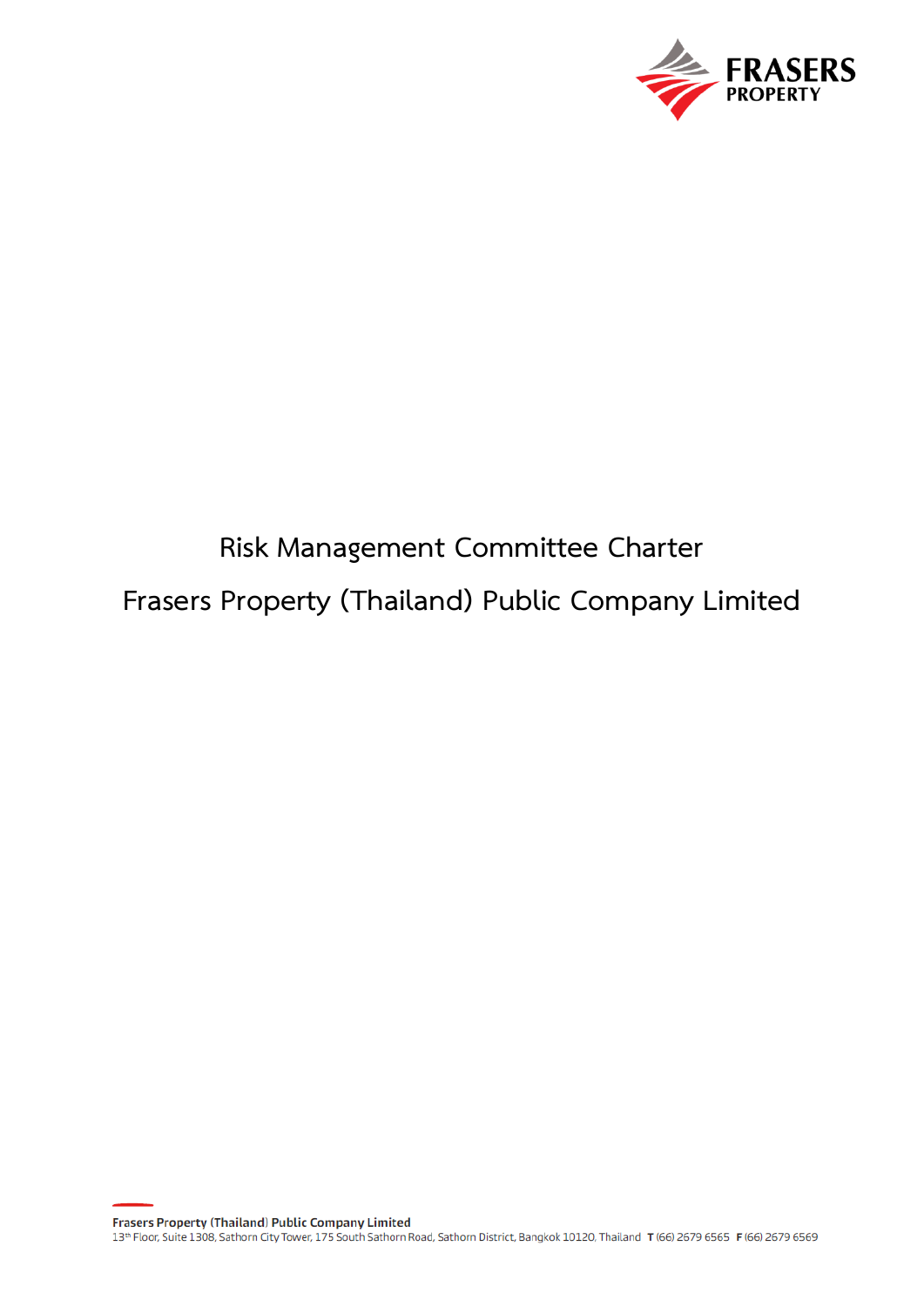

# **Risk Management Committee Charter Frasers Property (Thailand) Public Company Limited**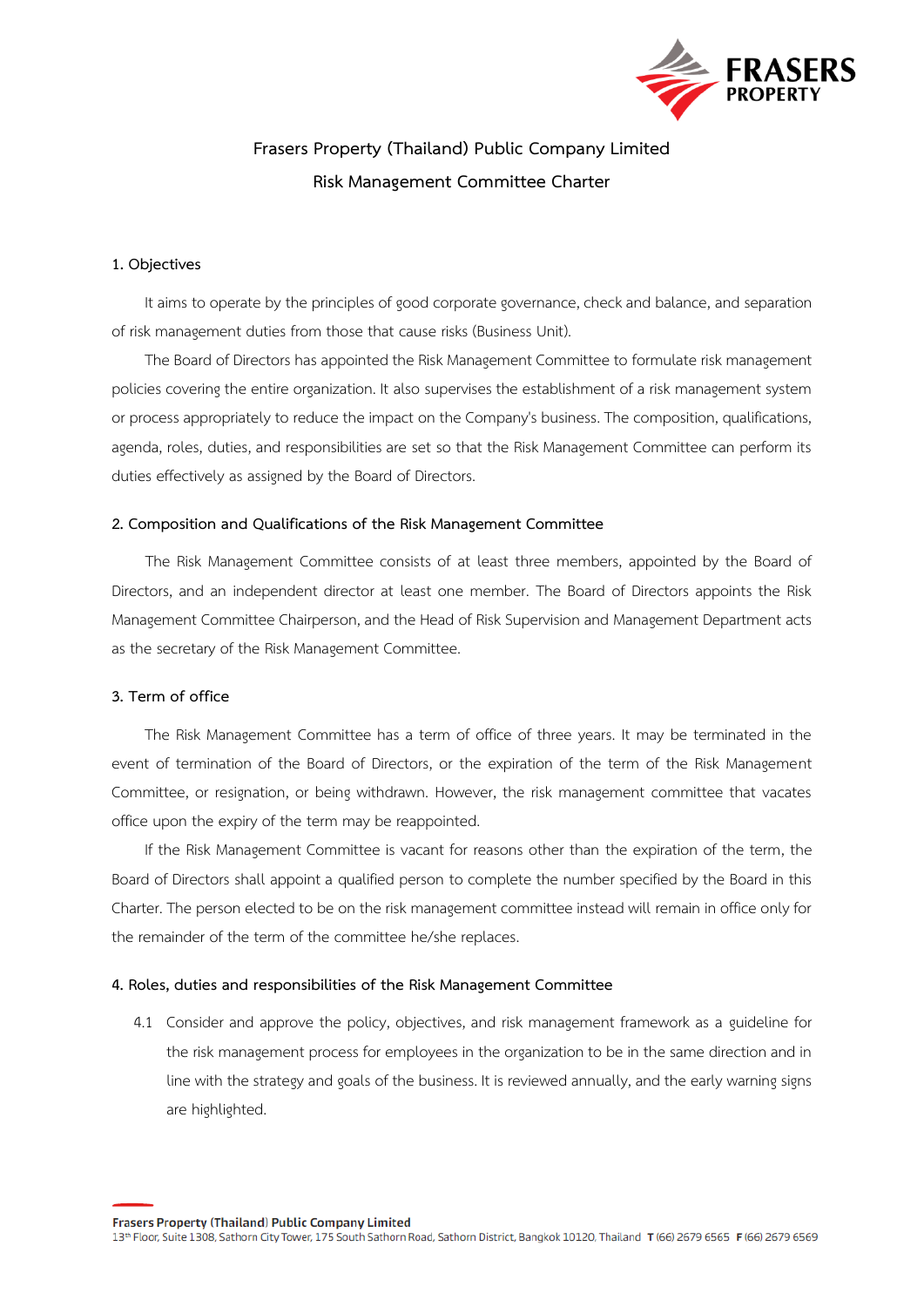

# **Frasers Property (Thailand) Public Company Limited Risk Management Committee Charter**

## **1. Objectives**

It aims to operate by the principles of good corporate governance, check and balance, and separation of risk management duties from those that cause risks (Business Unit).

The Board of Directors has appointed the Risk Management Committee to formulate risk management policies covering the entire organization. It also supervises the establishment of a risk management system or process appropriately to reduce the impact on the Company's business. The composition, qualifications, agenda, roles, duties, and responsibilities are set so that the Risk Management Committee can perform its duties effectively as assigned by the Board of Directors.

#### **2. Composition and Qualifications of the Risk Management Committee**

The Risk Management Committee consists of at least three members, appointed by the Board of Directors, and an independent director at least one member. The Board of Directors appoints the Risk Management Committee Chairperson, and the Head of Risk Supervision and Management Department acts as the secretary of the Risk Management Committee.

#### **3. Term of office**

The Risk Management Committee has a term of office of three years. It may be terminated in the event of termination of the Board of Directors, or the expiration of the term of the Risk Management Committee, or resignation, or being withdrawn. However, the risk management committee that vacates office upon the expiry of the term may be reappointed.

If the Risk Management Committee is vacant for reasons other than the expiration of the term, the Board of Directors shall appoint a qualified person to complete the number specified by the Board in this Charter. The person elected to be on the risk management committee instead will remain in office only for the remainder of the term of the committee he/she replaces.

#### **4. Roles, duties and responsibilities of the Risk Management Committee**

4.1 Consider and approve the policy, objectives, and risk management framework as a guideline for the risk management process for employees in the organization to be in the same direction and in line with the strategy and goals of the business. It is reviewed annually, and the early warning signs are highlighted.

Frasers Property (Thailand) Public Company Limited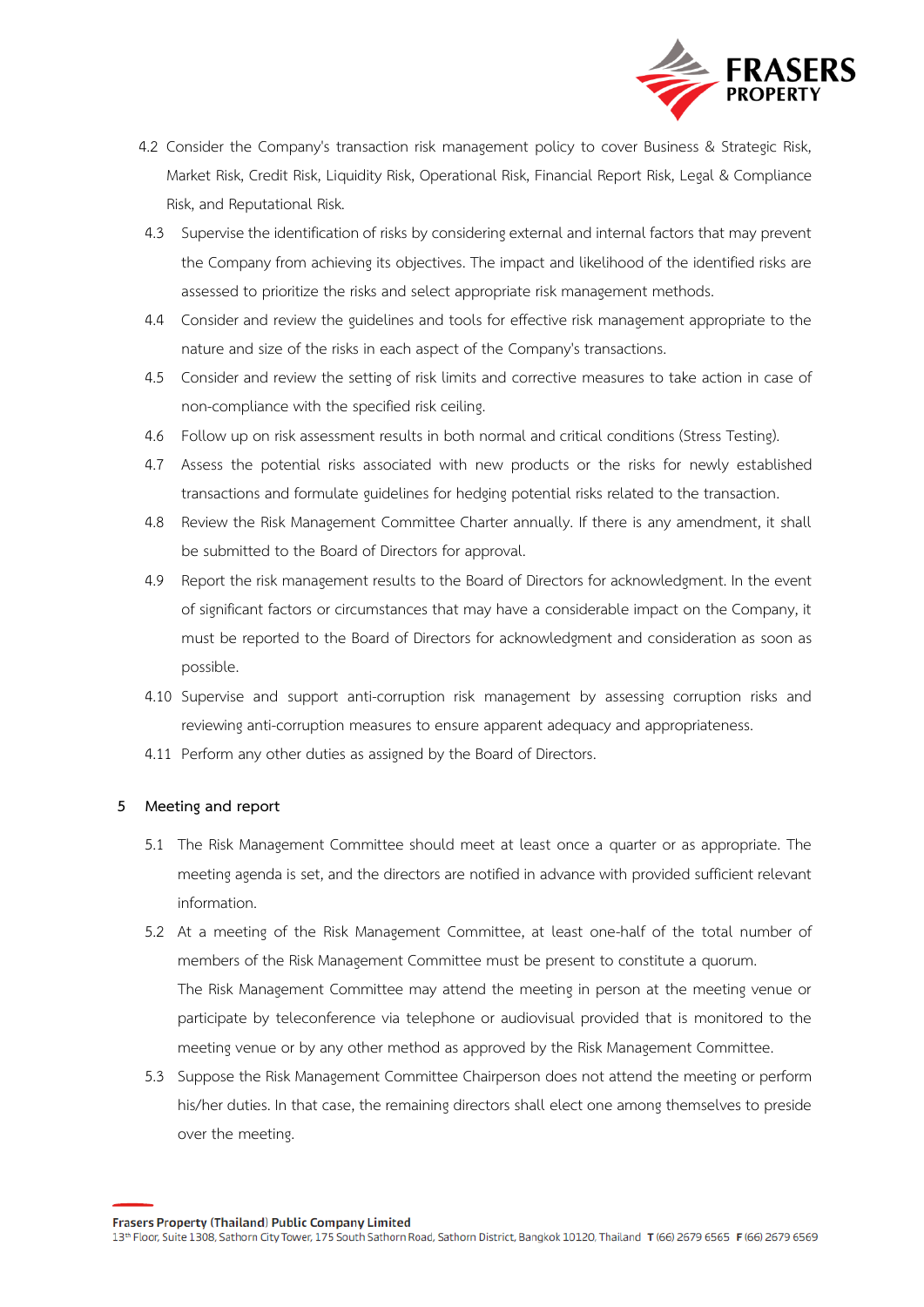

- 4.2 Consider the Company's transaction risk management policy to cover Business & Strategic Risk, Market Risk, Credit Risk, Liquidity Risk, Operational Risk, Financial Report Risk, Legal & Compliance Risk, and Reputational Risk.
- 4.3 Supervise the identification of risks by considering external and internal factors that may prevent the Company from achieving its objectives. The impact and likelihood of the identified risks are assessed to prioritize the risks and select appropriate risk management methods.
- 4.4 Consider and review the guidelines and tools for effective risk management appropriate to the nature and size of the risks in each aspect of the Company's transactions.
- 4.5 Consider and review the setting of risk limits and corrective measures to take action in case of non-compliance with the specified risk ceiling.
- 4.6 Follow up on risk assessment results in both normal and critical conditions (Stress Testing).
- 4.7 Assess the potential risks associated with new products or the risks for newly established transactions and formulate guidelines for hedging potential risks related to the transaction.
- 4.8 Review the Risk Management Committee Charter annually. If there is any amendment, it shall be submitted to the Board of Directors for approval.
- 4.9 Report the risk management results to the Board of Directors for acknowledgment. In the event of significant factors or circumstances that may have a considerable impact on the Company, it must be reported to the Board of Directors for acknowledgment and consideration as soon as possible.
- 4.10 Supervise and support anti-corruption risk management by assessing corruption risks and reviewing anti-corruption measures to ensure apparent adequacy and appropriateness.
- 4.11 Perform any other duties as assigned by the Board of Directors.

#### **5 Meeting and report**

- 5.1 The Risk Management Committee should meet at least once a quarter or as appropriate. The meeting agenda is set, and the directors are notified in advance with provided sufficient relevant information.
- 5.2 At a meeting of the Risk Management Committee, at least one-half of the total number of members of the Risk Management Committee must be present to constitute a quorum. The Risk Management Committee may attend the meeting in person at the meeting venue or participate by teleconference via telephone or audiovisual provided that is monitored to the meeting venue or by any other method as approved by the Risk Management Committee.
- 5.3 Suppose the Risk Management Committee Chairperson does not attend the meeting or perform his/her duties. In that case, the remaining directors shall elect one among themselves to preside over the meeting.

**Frasers Property (Thailand) Public Company Limited**